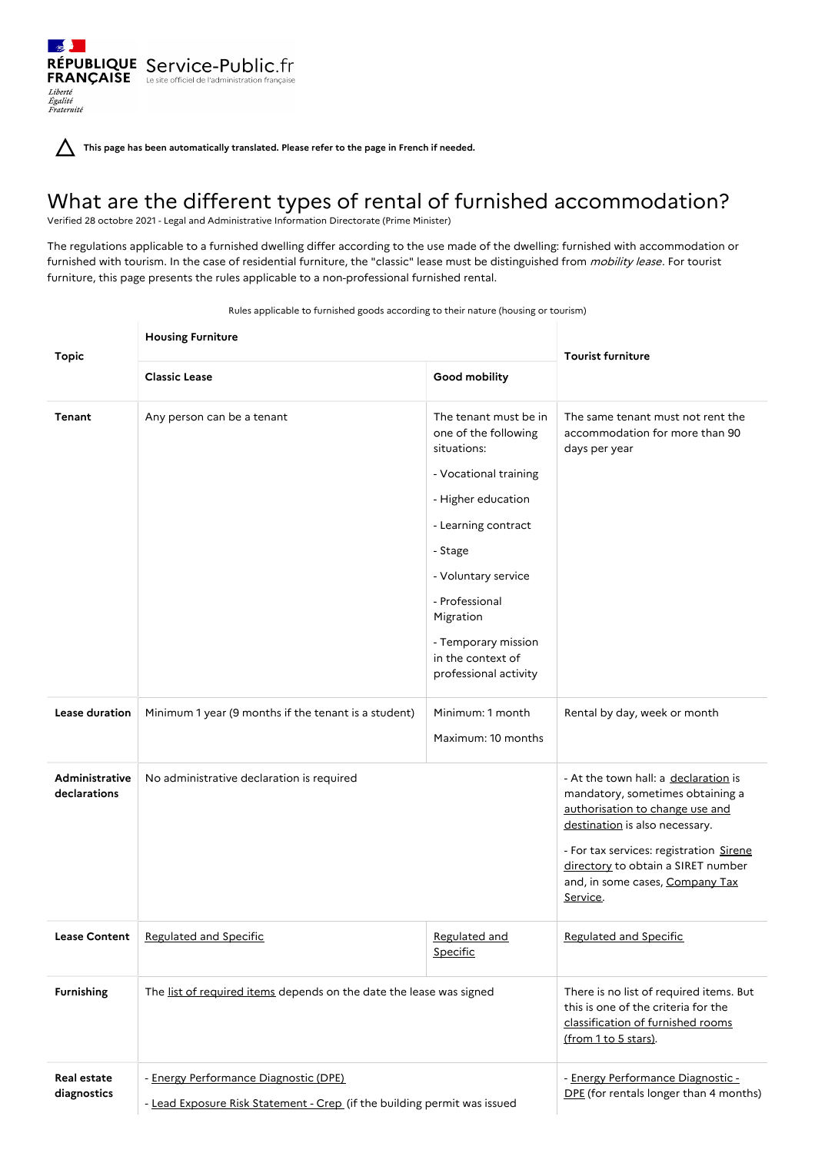$\sim$ RÉPUBLIQUE Service-Public.fr **FRANÇAISE** Le site officiel de l'administration française Liberté<br>Égalité<br>Fraternité

**This page has been automatically translated. Please refer to the page in French if needed.**

## What are the different types of rental of furnished accommodation?

Verified 28 octobre 2021 - Legal and Administrative Information Directorate (Prime Minister)

The regulations applicable to a furnished dwelling differ according to the use made of the dwelling: furnished with accommodation or furnished with tourism. In the case of residential furniture, the "classic" lease must be distinguished from mobility lease. For tourist furniture, this page presents the rules applicable to a non-professional furnished rental.

| <b>Topic</b>                          | <b>Housing Furniture</b>                                                                                          |                                                                                                                                                                                                                                                                          | <b>Tourist furniture</b>                                                                                                                                                                                                                                                      |
|---------------------------------------|-------------------------------------------------------------------------------------------------------------------|--------------------------------------------------------------------------------------------------------------------------------------------------------------------------------------------------------------------------------------------------------------------------|-------------------------------------------------------------------------------------------------------------------------------------------------------------------------------------------------------------------------------------------------------------------------------|
|                                       | <b>Classic Lease</b>                                                                                              | Good mobility                                                                                                                                                                                                                                                            |                                                                                                                                                                                                                                                                               |
| Tenant                                | Any person can be a tenant                                                                                        | The tenant must be in<br>one of the following<br>situations:<br>- Vocational training<br>- Higher education<br>- Learning contract<br>- Stage<br>- Voluntary service<br>- Professional<br>Migration<br>- Temporary mission<br>in the context of<br>professional activity | The same tenant must not rent the<br>accommodation for more than 90<br>days per year                                                                                                                                                                                          |
| Lease duration                        | Minimum 1 year (9 months if the tenant is a student)                                                              | Minimum: 1 month<br>Maximum: 10 months                                                                                                                                                                                                                                   | Rental by day, week or month                                                                                                                                                                                                                                                  |
| <b>Administrative</b><br>declarations | No administrative declaration is required                                                                         |                                                                                                                                                                                                                                                                          | - At the town hall: a declaration is<br>mandatory, sometimes obtaining a<br>authorisation to change use and<br>destination is also necessary.<br>- For tax services: registration Sirene<br>directory to obtain a SIRET number<br>and, in some cases, Company Tax<br>Service. |
|                                       | Lease Content   Regulated and Specific                                                                            | Regulated and<br>Specific                                                                                                                                                                                                                                                | Regulated and Specific                                                                                                                                                                                                                                                        |
| Furnishing                            | The list of required items depends on the date the lease was signed                                               |                                                                                                                                                                                                                                                                          | There is no list of required items. But<br>this is one of the criteria for the<br>classification of furnished rooms<br>(from 1 to 5 stars).                                                                                                                                   |
| <b>Real estate</b><br>diagnostics     | - Energy Performance Diagnostic (DPE)<br>- Lead Exposure Risk Statement - Crep (if the building permit was issued |                                                                                                                                                                                                                                                                          | - Energy Performance Diagnostic -<br>DPE (for rentals longer than 4 months)                                                                                                                                                                                                   |

Rules applicable to furnished goods according to their nature (housing or tourism)